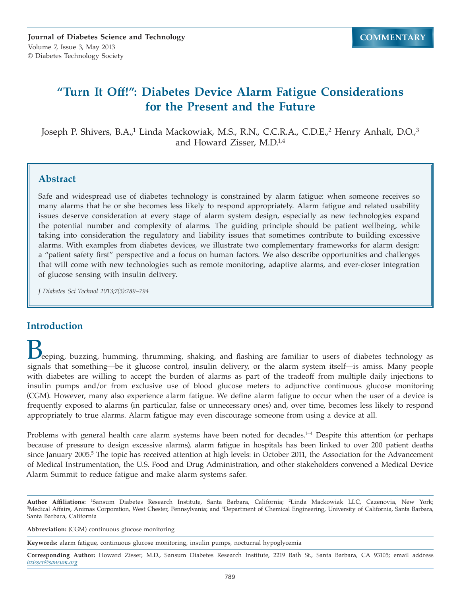**Journal of Diabetes Science and Technology** Volume 7, Issue 3, May 2013 © Diabetes Technology Society

# **"Turn It Off!": Diabetes Device Alarm Fatigue Considerations for the Present and the Future**

Joseph P. Shivers, B.A.,<sup>1</sup> Linda Mackowiak, M.S., R.N., C.C.R.A., C.D.E.,<sup>2</sup> Henry Anhalt, D.O.,<sup>3</sup> and Howard Zisser, M.D.1,4

### **Abstract**

Safe and widespread use of diabetes technology is constrained by alarm fatigue: when someone receives so many alarms that he or she becomes less likely to respond appropriately. Alarm fatigue and related usability issues deserve consideration at every stage of alarm system design, especially as new technologies expand the potential number and complexity of alarms. The guiding principle should be patient wellbeing, while taking into consideration the regulatory and liability issues that sometimes contribute to building excessive alarms. With examples from diabetes devices, we illustrate two complementary frameworks for alarm design: a "patient safety first" perspective and a focus on human factors. We also describe opportunities and challenges that will come with new technologies such as remote monitoring, adaptive alarms, and ever-closer integration of glucose sensing with insulin delivery.

*J Diabetes Sci Technol 2013;7(3):789–794*

### **Introduction**

Deeping, buzzing, humming, thrumming, shaking, and flashing are familiar to users of diabetes technology as signals that something—be it glucose control, insulin delivery, or the alarm system itself—is amiss. Many people with diabetes are willing to accept the burden of alarms as part of the tradeoff from multiple daily injections to insulin pumps and/or from exclusive use of blood glucose meters to adjunctive continuous glucose monitoring (CGM). However, many also experience alarm fatigue. We define alarm fatigue to occur when the user of a device is frequently exposed to alarms (in particular, false or unnecessary ones) and, over time, becomes less likely to respond appropriately to true alarms. Alarm fatigue may even discourage someone from using a device at all.

Problems with general health care alarm systems have been noted for decades.<sup>1-4</sup> Despite this attention (or perhaps because of pressure to design excessive alarms), alarm fatigue in hospitals has been linked to over 200 patient deaths since January 2005.<sup>5</sup> The topic has received attention at high levels: in October 2011, the Association for the Advancement of Medical Instrumentation, the U.S. Food and Drug Administration, and other stakeholders convened a Medical Device Alarm Summit to reduce fatigue and make alarm systems safer.

**Author Affiliations: "**Sansum Diabetes Research Institute, Santa Barbara, California; <sup>2</sup>Linda Mackowiak LLC, Cazenovia, New York;<br><sup>3</sup>Medical Affairs Animas.Corporation West Chester Pennsylvania: and <sup>4</sup>Department of Chem Medical Affairs, Animas Corporation, West Chester, Pennsylvania; and <sup>4</sup> Department of Chemical Engineering, University of California, Santa Barbara, Santa Barbara, California

**Abbreviation:** (CGM) continuous glucose monitoring

**Keywords:** alarm fatigue, continuous glucose monitoring, insulin pumps, nocturnal hypoglycemia

**Corresponding Author:** Howard Zisser, M.D., Sansum Diabetes Research Institute, 2219 Bath St., Santa Barbara, CA 93105; email address *hzisser@sansum.org*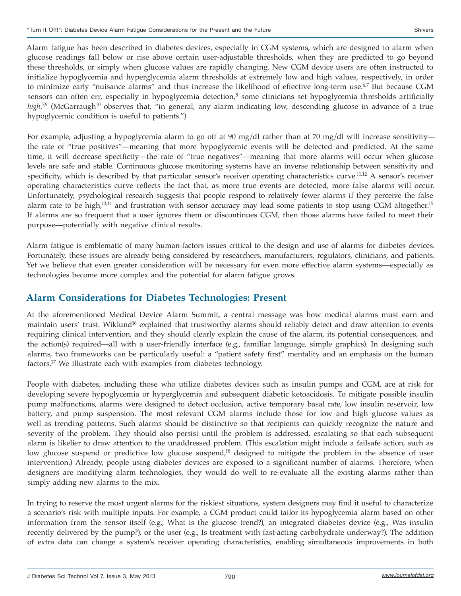Alarm fatigue has been described in diabetes devices, especially in CGM systems, which are designed to alarm when glucose readings fall below or rise above certain user-adjustable thresholds, when they are predicted to go beyond these thresholds, or simply when glucose values are rapidly changing. New CGM device users are often instructed to initialize hypoglycemia and hyperglycemia alarm thresholds at extremely low and high values, respectively, in order to minimize early "nuisance alarms" and thus increase the likelihood of effective long-term use.<sup>6,7</sup> But because CGM sensors can often err, especially in hypoglycemia detection,<sup>8</sup> some clinicians set hypoglycemia thresholds artificially high.<sup>7,9</sup> (McGarraugh<sup>10</sup> observes that, "in general, any alarm indicating low, descending glucose in advance of a true hypoglycemic condition is useful to patients.")

For example, adjusting a hypoglycemia alarm to go off at 90 mg/dl rather than at 70 mg/dl will increase sensitivity the rate of "true positives"—meaning that more hypoglycemic events will be detected and predicted. At the same time, it will decrease specificity—the rate of "true negatives"—meaning that more alarms will occur when glucose levels are safe and stable. Continuous glucose monitoring systems have an inverse relationship between sensitivity and specificity, which is described by that particular sensor's receiver operating characteristics curve.<sup>11,12</sup> A sensor's receiver operating characteristics curve reflects the fact that, as more true events are detected, more false alarms will occur. Unfortunately, psychological research suggests that people respond to relatively fewer alarms if they perceive the false alarm rate to be high,<sup>13,14</sup> and frustration with sensor accuracy may lead some patients to stop using CGM altogether.<sup>15</sup> If alarms are so frequent that a user ignores them or discontinues CGM, then those alarms have failed to meet their purpose—potentially with negative clinical results.

Alarm fatigue is emblematic of many human-factors issues critical to the design and use of alarms for diabetes devices. Fortunately, these issues are already being considered by researchers, manufacturers, regulators, clinicians, and patients. Yet we believe that even greater consideration will be necessary for even more effective alarm systems—especially as technologies become more complex and the potential for alarm fatigue grows.

## **Alarm Considerations for Diabetes Technologies: Present**

At the aforementioned Medical Device Alarm Summit, a central message was how medical alarms must earn and maintain users' trust. Wiklund<sup>16</sup> explained that trustworthy alarms should reliably detect and draw attention to events requiring clinical intervention, and they should clearly explain the cause of the alarm, its potential consequences, and the action(s) required—all with a user-friendly interface (e.g., familiar language, simple graphics). In designing such alarms, two frameworks can be particularly useful: a "patient safety first" mentality and an emphasis on the human factors.<sup>17</sup> We illustrate each with examples from diabetes technology.

People with diabetes, including those who utilize diabetes devices such as insulin pumps and CGM, are at risk for developing severe hypoglycemia or hyperglycemia and subsequent diabetic ketoacidosis. To mitigate possible insulin pump malfunctions, alarms were designed to detect occlusion, active temporary basal rate, low insulin reservoir, low battery, and pump suspension. The most relevant CGM alarms include those for low and high glucose values as well as trending patterns. Such alarms should be distinctive so that recipients can quickly recognize the nature and severity of the problem. They should also persist until the problem is addressed, escalating so that each subsequent alarm is likelier to draw attention to the unaddressed problem. (This escalation might include a failsafe action, such as low glucose suspend or predictive low glucose suspend,<sup>18</sup> designed to mitigate the problem in the absence of user intervention.) Already, people using diabetes devices are exposed to a significant number of alarms. Therefore, when designers are modifying alarm technologies, they would do well to re-evaluate all the existing alarms rather than simply adding new alarms to the mix.

In trying to reserve the most urgent alarms for the riskiest situations, system designers may find it useful to characterize a scenario's risk with multiple inputs. For example, a CGM product could tailor its hypoglycemia alarm based on other information from the sensor itself (e.g., What is the glucose trend?), an integrated diabetes device (e.g., Was insulin recently delivered by the pump?), or the user (e.g., Is treatment with fast-acting carbohydrate underway?). The addition of extra data can change a system's receiver operating characteristics, enabling simultaneous improvements in both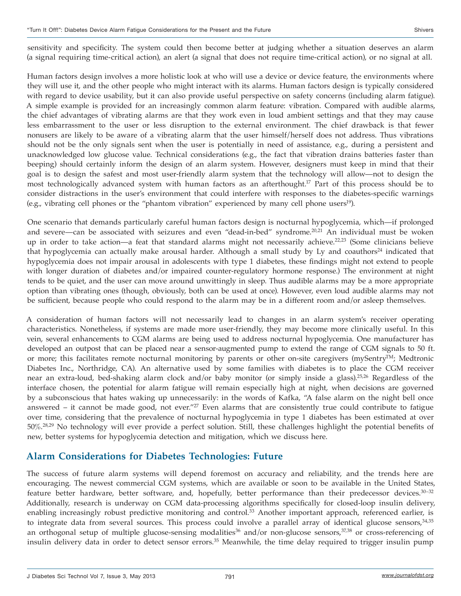Human factors design involves a more holistic look at who will use a device or device feature, the environments where they will use it, and the other people who might interact with its alarms. Human factors design is typically considered with regard to device usability, but it can also provide useful perspective on safety concerns (including alarm fatigue). A simple example is provided for an increasingly common alarm feature: vibration. Compared with audible alarms, the chief advantages of vibrating alarms are that they work even in loud ambient settings and that they may cause less embarrassment to the user or less disruption to the external environment. The chief drawback is that fewer nonusers are likely to be aware of a vibrating alarm that the user himself/herself does not address. Thus vibrations should not be the only signals sent when the user is potentially in need of assistance, e.g., during a persistent and unacknowledged low glucose value. Technical considerations (e.g., the fact that vibration drains batteries faster than beeping) should certainly inform the design of an alarm system. However, designers must keep in mind that their goal is to design the safest and most user-friendly alarm system that the technology will allow—not to design the most technologically advanced system with human factors as an afterthought.17 Part of this process should be to consider distractions in the user's environment that could interfere with responses to the diabetes-specific warnings (e.g., vibrating cell phones or the "phantom vibration" experienced by many cell phone users19).

One scenario that demands particularly careful human factors design is nocturnal hypoglycemia, which—if prolonged and severe—can be associated with seizures and even "dead-in-bed" syndrome.<sup>20,21</sup> An individual must be woken up in order to take action—a feat that standard alarms might not necessarily achieve.<sup>22,23</sup> (Some clinicians believe that hypoglycemia can actually make arousal harder. Although a small study by Ly and coauthors<sup>24</sup> indicated that hypoglycemia does not impair arousal in adolescents with type 1 diabetes, these findings might not extend to people with longer duration of diabetes and/or impaired counter-regulatory hormone response.) The environment at night tends to be quiet, and the user can move around unwittingly in sleep. Thus audible alarms may be a more appropriate option than vibrating ones (though, obviously, both can be used at once). However, even loud audible alarms may not be sufficient, because people who could respond to the alarm may be in a different room and/or asleep themselves.

A consideration of human factors will not necessarily lead to changes in an alarm system's receiver operating characteristics. Nonetheless, if systems are made more user-friendly, they may become more clinically useful. In this vein, several enhancements to CGM alarms are being used to address nocturnal hypoglycemia. One manufacturer has developed an outpost that can be placed near a sensor-augmented pump to extend the range of CGM signals to 50 ft. or more; this facilitates remote nocturnal monitoring by parents or other on-site caregivers (mySentry<sup>TM</sup>; Medtronic Diabetes Inc., Northridge, CA). An alternative used by some families with diabetes is to place the CGM receiver near an extra-loud, bed-shaking alarm clock and/or baby monitor (or simply inside a glass).25,26 Regardless of the interface chosen, the potential for alarm fatigue will remain especially high at night, when decisions are governed by a subconscious that hates waking up unnecessarily: in the words of Kafka, "A false alarm on the night bell once answered – it cannot be made good, not ever."<sup>27</sup> Even alarms that are consistently true could contribute to fatigue over time, considering that the prevalence of nocturnal hypoglycemia in type 1 diabetes has been estimated at over 50%.28,29 No technology will ever provide a perfect solution. Still, these challenges highlight the potential benefits of new, better systems for hypoglycemia detection and mitigation, which we discuss here.

## **Alarm Considerations for Diabetes Technologies: Future**

The success of future alarm systems will depend foremost on accuracy and reliability, and the trends here are encouraging. The newest commercial CGM systems, which are available or soon to be available in the United States, feature better hardware, better software, and, hopefully, better performance than their predecessor devices.30–32 Additionally, research is underway on CGM data-processing algorithms specifically for closed-loop insulin delivery, enabling increasingly robust predictive monitoring and control.<sup>33</sup> Another important approach, referenced earlier, is to integrate data from several sources. This process could involve a parallel array of identical glucose sensors, $34,35$ an orthogonal setup of multiple glucose-sensing modalities<sup>36</sup> and/or non-glucose sensors,<sup>37,38</sup> or cross-referencing of insulin delivery data in order to detect sensor errors.<sup>35</sup> Meanwhile, the time delay required to trigger insulin pump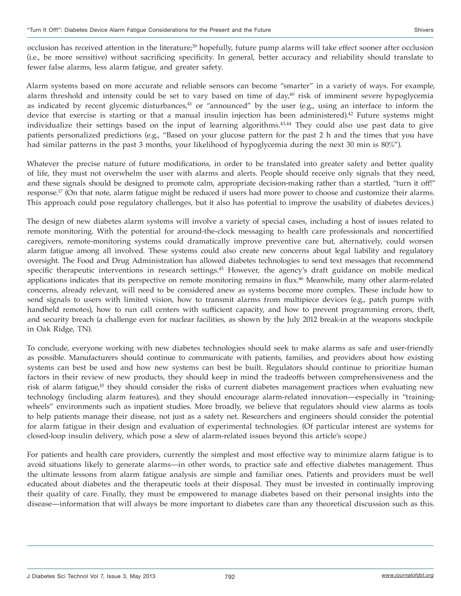occlusion has received attention in the literature;<sup>39</sup> hopefully, future pump alarms will take effect sooner after occlusion (i.e., be more sensitive) without sacrificing specificity. In general, better accuracy and reliability should translate to fewer false alarms, less alarm fatigue, and greater safety.

Alarm systems based on more accurate and reliable sensors can become "smarter" in a variety of ways. For example, alarm threshold and intensity could be set to vary based on time of day, $40$  risk of imminent severe hypoglycemia as indicated by recent glycemic disturbances,<sup>41</sup> or "announced" by the user (e.g., using an interface to inform the device that exercise is starting or that a manual insulin injection has been administered).<sup>42</sup> Future systems might individualize their settings based on the input of learning algorithms.43,44 They could also use past data to give patients personalized predictions (e.g., "Based on your glucose pattern for the past 2 h and the times that you have had similar patterns in the past 3 months, your likelihood of hypoglycemia during the next 30 min is 80%").

Whatever the precise nature of future modifications, in order to be translated into greater safety and better quality of life, they must not overwhelm the user with alarms and alerts. People should receive only signals that they need, and these signals should be designed to promote calm, appropriate decision-making rather than a startled, "turn it off!" response.<sup>17</sup> (On that note, alarm fatigue might be reduced if users had more power to choose and customize their alarms. This approach could pose regulatory challenges, but it also has potential to improve the usability of diabetes devices.)

The design of new diabetes alarm systems will involve a variety of special cases, including a host of issues related to remote monitoring. With the potential for around-the-clock messaging to health care professionals and noncertified caregivers, remote-monitoring systems could dramatically improve preventive care but, alternatively, could worsen alarm fatigue among all involved. These systems could also create new concerns about legal liability and regulatory oversight. The Food and Drug Administration has allowed diabetes technologies to send text messages that recommend specific therapeutic interventions in research settings.<sup>45</sup> However, the agency's draft guidance on mobile medical applications indicates that its perspective on remote monitoring remains in flux.<sup>46</sup> Meanwhile, many other alarm-related concerns, already relevant, will need to be considered anew as systems become more complex. These include how to send signals to users with limited vision, how to transmit alarms from multipiece devices (e.g., patch pumps with handheld remotes), how to run call centers with sufficient capacity, and how to prevent programming errors, theft, and security breach (a challenge even for nuclear facilities, as shown by the July 2012 break-in at the weapons stockpile in Oak Ridge, TN).

To conclude, everyone working with new diabetes technologies should seek to make alarms as safe and user-friendly as possible. Manufacturers should continue to communicate with patients, families, and providers about how existing systems can best be used and how new systems can best be built. Regulators should continue to prioritize human factors in their review of new products, they should keep in mind the tradeoffs between comprehensiveness and the risk of alarm fatigue,<sup>10</sup> they should consider the risks of current diabetes management practices when evaluating new technology (including alarm features), and they should encourage alarm-related innovation—especially in "trainingwheels" environments such as inpatient studies. More broadly, we believe that regulators should view alarms as tools to help patients manage their disease, not just as a safety net. Researchers and engineers should consider the potential for alarm fatigue in their design and evaluation of experimental technologies. (Of particular interest are systems for closed-loop insulin delivery, which pose a slew of alarm-related issues beyond this article's scope.)

For patients and health care providers, currently the simplest and most effective way to minimize alarm fatigue is to avoid situations likely to generate alarms—in other words, to practice safe and effective diabetes management. Thus the ultimate lessons from alarm fatigue analysis are simple and familiar ones. Patients and providers must be well educated about diabetes and the therapeutic tools at their disposal. They must be invested in continually improving their quality of care. Finally, they must be empowered to manage diabetes based on their personal insights into the disease—information that will always be more important to diabetes care than any theoretical discussion such as this.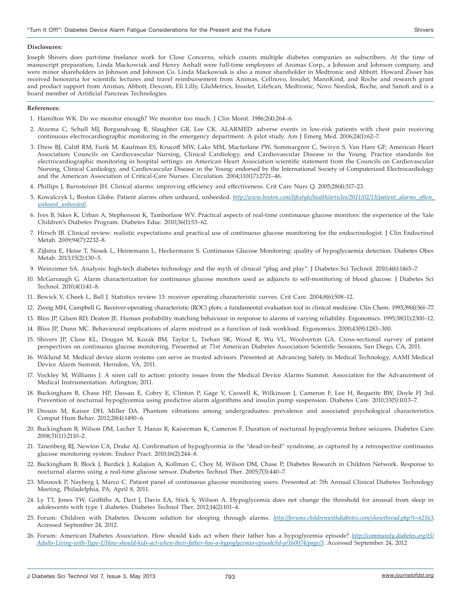#### **Disclosures:**

Joseph Shivers does part-time freelance work for Close Concerns, which counts multiple diabetes companies as subscribers. At the time of manuscript preparation, Linda Mackowiak and Henry Anhalt were full-time employees of Animas Corp., a Johnson and Johnson company, and were minor shareholders in Johnson and Johnson Co. Linda Mackowiak is also a minor shareholder in Medtronic and Abbott. Howard Zisser has received honoraria for scientific lectures and travel reimbursement from Animas, Cellnovo, Insulet, MannKind, and Roche and research grant and product support from Animas, Abbott, Dexcom, Eli Lilly, GluMetrics, Insulet, LifeScan, Medtronic, Novo Nordisk, Roche, and Sanofi and is a board member of Artificial Pancreas Technologies.

#### **References:**

- 1. Hamilton WK. Do we monitor enough? We monitor too much. J Clin Monit. 1986;2(4):264–6.
- 2. Atzema C, Schull MJ, Borgundvaag B, Slaughter GR, Lee CK. ALARMED: adverse events in low-risk patients with chest pain receiving continuous electrocardiographic monitoring in the emergency department. A pilot study. Am J Emerg Med. 2006;24(1):62–7.
- 3. Drew BJ, Califf RM, Funk M, Kaufman ES, Krucoff MW, Laks MM, Macfarlane PW, Sommargren C, Swiryn S, Van Hare GF; American Heart Association; Councils on Cardiovascular Nursing, Clinical Cardiology, and Cardiovascular Disease in the Young. Practice standards for electrocardiographic monitoring in hospital settings: an American Heart Association scientific statement from the Councils on Cardiovascular Nursing, Clinical Cardiology, and Cardiovascular Disease in the Young: endorsed by the International Society of Computerized Electrocardiology and the American Association of Critical-Care Nurses. Circulation. 2004;110(17):2721–46.
- 4. Phillips J, Barnsteiner JH. Clinical alarms: improving efficiency and effectiveness. Crit Care Nurs Q. 2005;28(4):317–23.
- 5. Kowalczyk L; Boston Globe. Patient alarms often unheard, unheeded. *http://www.boston.com/lifestyle/health/articles/2011/02/13/patient\_alarms\_often\_ unheard\_unheeded/*.
- 6. Ives B, Sikes K, Urban A, Stephenson K, Tamborlane WV. Practical aspects of real-time continuous glucose monitors: the experience of the Yale Children's Diabetes Program. Diabetes Educ. 2010;36(1):53–62.
- 7. Hirsch IB. Clinical review: realistic expectations and practical use of continuous glucose monitoring for the endocrinologist. J Clin Endocrinol Metab. 2009;94(7):2232–8.
- 8. Zijlstra E, Heise T, Nosek L, Heinemann L, Heckermann S. Continuous Glucose Monitoring: quality of hypoglycaemia detection. Diabetes Obes Metab. 2013;15(2):130–5.
- 9. Weinzimer SA. Analysis: high-tech diabetes technology and the myth of clinical "plug and play". J Diabetes Sci Technol. 2010;4(6):1465–7.
- 10. McGarraugh G. Alarm characterization for continuous glucose monitors used as adjuncts to self-monitoring of blood glucose. J Diabetes Sci Technol. 2010;4(1):41–8.
- 11. Bewick V, Cheek L, Ball J. Statistics review 13: receiver operating characteristic curves. Crit Care. 2004;8(6):508–12.
- 12. Zweig MH, Campbell G. Receiver-operating characteristic (ROC) plots: a fundamental evaluation tool in clinical medicine. Clin Chem. 1993;39(4):561–77.
- 13. Bliss JP, Gilson RD, Deaton JE. Human probability matching behaviour in response to alarms of varying reliability. Ergonomics. 1995;38(11):2300–12.
- 14. Bliss JP, Dunn MC. Behavioural implications of alarm mistrust as a function of task workload. Ergonomics. 2000;43(9):1283–300.
- 15. Shivers JP, Close KL, Dougan M, Kozak BM, Taylor L, Trehan SK, Wood R, Wu VL, Woolverton GA. Cross-sectional survey of patient perspectives on continuous glucose monitoring. Presented at: 71st American Diabetes Association Scientific Sessions, San Diego, CA, 2011.
- 16. Wiklund M. Medical device alarm systems can serve as trusted advisors. Presented at: Advancing Safety in Medical Technology, AAMI Medical Device Alarm Summit, Herndon, VA, 2011.
- 17. Vockley M, Williams J. A siren call to action: priority issues from the Medical Device Alarms Summit. Association for the Advancement of Medical Instrumentation: Arlington; 2011.
- 18. Buckingham B, Chase HP, Dassau E, Cobry E, Clinton P, Gage V, Caswell K, Wilkinson J, Cameron F, Lee H, Bequette BW, Doyle FJ 3rd. Prevention of nocturnal hypoglycemia using predictive alarm algorithms and insulin pump suspension. Diabetes Care. 2010;33(5):1013–7.
- 19. Drouin M, Kaiser DH, Miller DA. Phantom vibrations among undergraduates: prevalence and associated psychological characteristics. Comput Hum Behav. 2012;28(4):1490–6.
- 20. Buckingham B, Wilson DM, Lecher T, Hanas R, Kaiserman K, Cameron F. Duration of nocturnal hypoglycemia before seizures. Diabetes Care. 2008;31(11):2110–2.
- 21. Tanenberg RJ, Newton CA, Drake AJ. Confirmation of hypoglycemia in the "dead-in-bed" syndrome, as captured by a retrospective continuous glucose monitoring system. Endocr Pract. 2010;16(2):244–8.
- 22. Buckingham B, Block J, Burdick J, Kalajian A, Kollman C, Choy M, Wilson DM, Chase P; Diabetes Research in Children Network. Response to nocturnal alarms using a real-time glucose sensor. Diabetes Technol Ther. 2005;7(3):440–7.
- 23. Minnock P, Nayberg I, Marco C. Patient panel of continuous glucose monitoring users. Presented at: 7th Annual Clinical Diabetes Technology Meeting, Philadelphia, PA, April 8, 2011.
- 24. Ly TT, Jones TW, Griffiths A, Dart J, Davis EA, Stick S, Wilson A. Hypoglycemia does not change the threshold for arousal from sleep in adolescents with type 1 diabetes. Diabetes Technol Ther. 2012;14(2):101–4.
- 25. Forum: Children with Diabetes. Dexcom solution for sleeping through alarms. *http://forums.childrenwithdiabetes.com/showthread.php?t=62163*. Accessed September 24, 2012.
- 26. Forum: American Diabetes Association. How should kids act when their father has a hypoglycemia episode? *http://community.diabetes.org/t5/ Adults-Living-with-Type-1/How-should-kids-act-when-their-father-has-a-hypoglycemia-episode/td-p/160074/page/3*. Accessed September 24, 2012